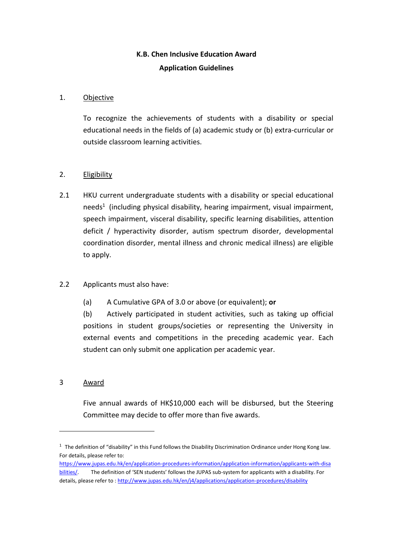# **K.B. Chen Inclusive Education Award Application Guidelines**

# 1. Objective

To recognize the achievements of students with a disability or special educational needs in the fields of (a) academic study or (b) extra-curricular or outside classroom learning activities.

## 2. Eligibility

2.1 HKU current undergraduate students with a disability or special educational needs<sup>1</sup> (including physical disability, hearing impairment, visual impairment, speech impairment, visceral disability, specific learning disabilities, attention deficit / hyperactivity disorder, autism spectrum disorder, developmental coordination disorder, mental illness and chronic medical illness) are eligible to apply.

# 2.2 Applicants must also have:

(a) A Cumulative GPA of 3.0 or above (or equivalent); **or**

(b) Actively participated in student activities, such as taking up official positions in student groups/societies or representing the University in external events and competitions in the preceding academic year. Each student can only submit one application per academic year.

#### 3 Award

1

Five annual awards of HK\$10,000 each will be disbursed, but the Steering Committee may decide to offer more than five awards.

 $1$  The definition of "disability" in this Fund follows the Disability Discrimination Ordinance under Hong Kong law. For details, please refer to:

[https://www.jupas.edu.hk/en/application-procedures-information/application-information/applicants-with-disa](https://www.jupas.edu.hk/en/application-procedures-information/application-information/applicants-with-disabilities/) [bilities/.](https://www.jupas.edu.hk/en/application-procedures-information/application-information/applicants-with-disabilities/) The definition of 'SEN students' follows the JUPAS sub-system for applicants with a disability. For details, please refer to [: http://www.jupas.edu.hk/en/j4/applications/application-procedures/disability](http://www.jupas.edu.hk/en/j4/applications/application-procedures/disability)